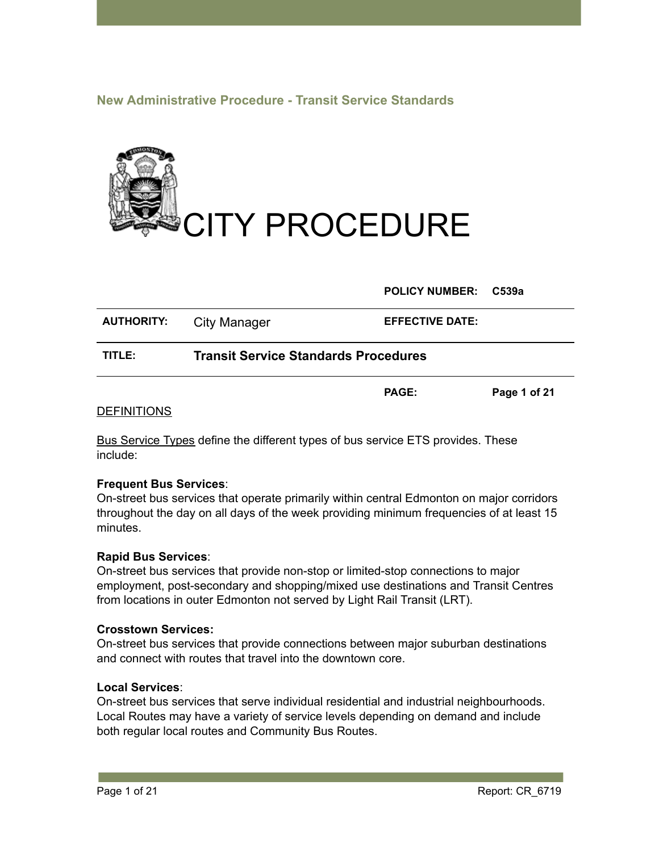# **New Administrative Procedure - Transit Service Standards**



**POLICY NUMBER: C539a**

**PAGE: Page 1 of 21**

| <b>AUTHORITY:</b> | City Manager                                | <b>EFFECTIVE DATE:</b> |
|-------------------|---------------------------------------------|------------------------|
| TITLE:            | <b>Transit Service Standards Procedures</b> |                        |

#### DEFINITIONS

Bus Service Types define the different types of bus service ETS provides. These include:

#### **Frequent Bus Services**:

On-street bus services that operate primarily within central Edmonton on major corridors throughout the day on all days of the week providing minimum frequencies of at least 15 minutes.

#### **Rapid Bus Services**:

On-street bus services that provide non-stop or limited-stop connections to major employment, post-secondary and shopping/mixed use destinations and Transit Centres from locations in outer Edmonton not served by Light Rail Transit (LRT).

#### **Crosstown Services:**

On-street bus services that provide connections between major suburban destinations and connect with routes that travel into the downtown core.

## **Local Services**:

On-street bus services that serve individual residential and industrial neighbourhoods. Local Routes may have a variety of service levels depending on demand and include both regular local routes and Community Bus Routes.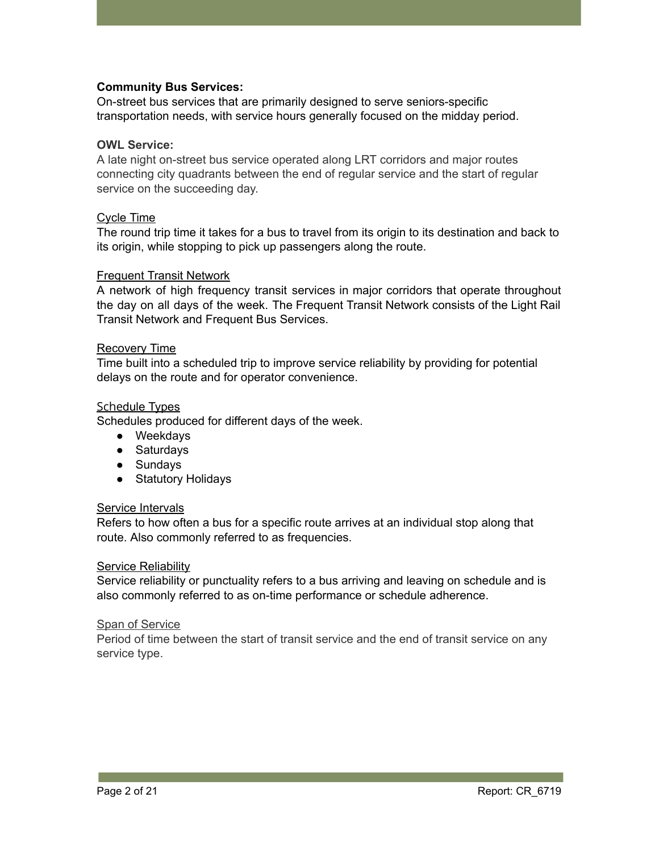## **Community Bus Services:**

On-street bus services that are primarily designed to serve seniors-specific transportation needs, with service hours generally focused on the midday period.

#### **OWL Service:**

A late night on-street bus service operated along LRT corridors and major routes connecting city quadrants between the end of regular service and the start of regular service on the succeeding day.

#### Cycle Time

The round trip time it takes for a bus to travel from its origin to its destination and back to its origin, while stopping to pick up passengers along the route.

#### Frequent Transit Network

A network of high frequency transit services in major corridors that operate throughout the day on all days of the week. The Frequent Transit Network consists of the Light Rail Transit Network and Frequent Bus Services.

#### Recovery Time

Time built into a scheduled trip to improve service reliability by providing for potential delays on the route and for operator convenience.

#### Schedule Types

Schedules produced for different days of the week.

- Weekdays
- Saturdays
- Sundays
- Statutory Holidays

#### Service Intervals

Refers to how often a bus for a specific route arrives at an individual stop along that route. Also commonly referred to as frequencies.

#### Service Reliability

Service reliability or punctuality refers to a bus arriving and leaving on schedule and is also commonly referred to as on-time performance or schedule adherence.

#### Span of Service

Period of time between the start of transit service and the end of transit service on any service type.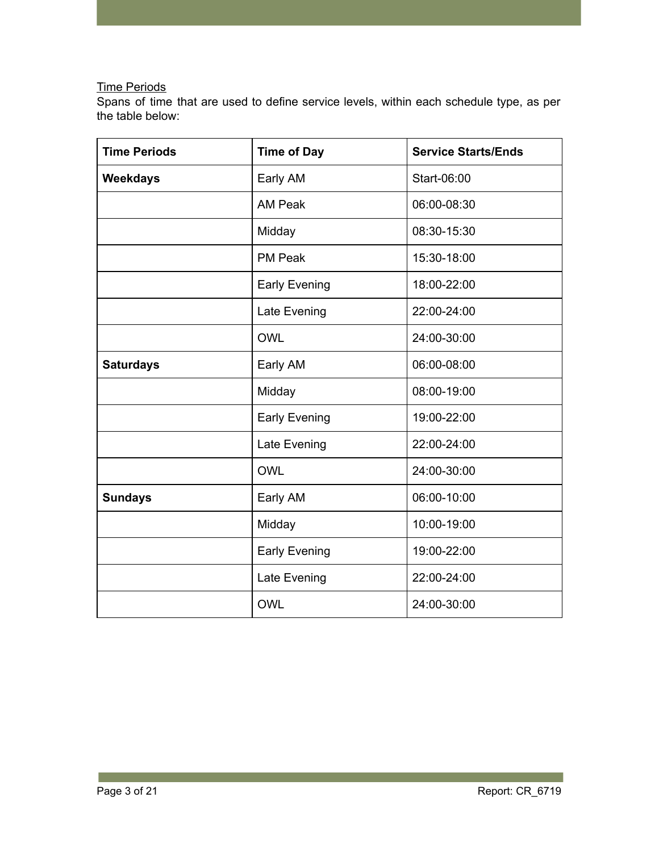# Time Periods

Spans of time that are used to define service levels, within each schedule type, as per the table below:

| <b>Time Periods</b> | <b>Time of Day</b>        | <b>Service Starts/Ends</b> |
|---------------------|---------------------------|----------------------------|
| <b>Weekdays</b>     | Early AM                  | Start-06:00                |
|                     | <b>AM Peak</b>            | 06:00-08:30                |
|                     | Midday                    | 08:30-15:30                |
|                     | <b>PM Peak</b>            | 15:30-18:00                |
|                     | <b>Early Evening</b>      | 18:00-22:00                |
|                     | Late Evening              | 22:00-24:00                |
|                     | <b>OWL</b>                | 24:00-30:00                |
| <b>Saturdays</b>    | Early AM                  | 06:00-08:00                |
|                     | Midday                    | 08:00-19:00                |
|                     | <b>Early Evening</b>      | 19:00-22:00                |
|                     | Late Evening              | 22:00-24:00                |
|                     | <b>OWL</b>                | 24:00-30:00                |
| <b>Sundays</b>      | Early AM                  | 06:00-10:00                |
|                     | Midday                    | 10:00-19:00                |
|                     | <b>Early Evening</b>      | 19:00-22:00                |
|                     | Late Evening              | 22:00-24:00                |
|                     | <b>OWL</b><br>24:00-30:00 |                            |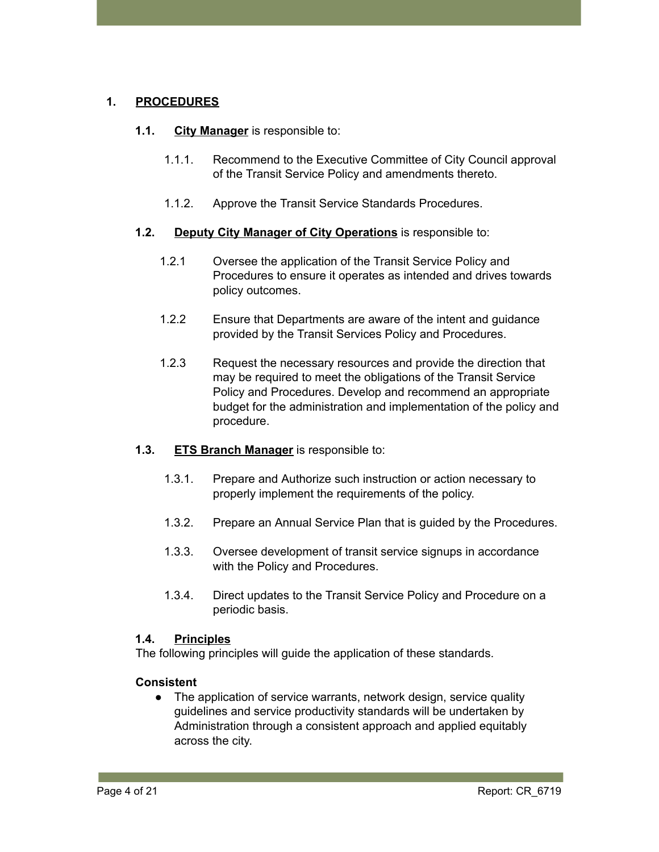# **1. PROCEDURES**

## **1.1. City Manager** is responsible to:

- 1.1.1. Recommend to the Executive Committee of City Council approval of the Transit Service Policy and amendments thereto.
- 1.1.2. Approve the Transit Service Standards Procedures.

# **1.2. Deputy City Manager of City Operations** is responsible to:

- 1.2.1 Oversee the application of the Transit Service Policy and Procedures to ensure it operates as intended and drives towards policy outcomes.
- 1.2.2 Ensure that Departments are aware of the intent and guidance provided by the Transit Services Policy and Procedures.
- 1.2.3 Request the necessary resources and provide the direction that may be required to meet the obligations of the Transit Service Policy and Procedures. Develop and recommend an appropriate budget for the administration and implementation of the policy and procedure.

# **1.3. ETS Branch Manager** is responsible to:

- 1.3.1. Prepare and Authorize such instruction or action necessary to properly implement the requirements of the policy.
- 1.3.2. Prepare an Annual Service Plan that is guided by the Procedures.
- 1.3.3. Oversee development of transit service signups in accordance with the Policy and Procedures.
- 1.3.4. Direct updates to the Transit Service Policy and Procedure on a periodic basis.

## **1.4. Principles**

The following principles will guide the application of these standards.

# **Consistent**

• The application of service warrants, network design, service quality guidelines and service productivity standards will be undertaken by Administration through a consistent approach and applied equitably across the city.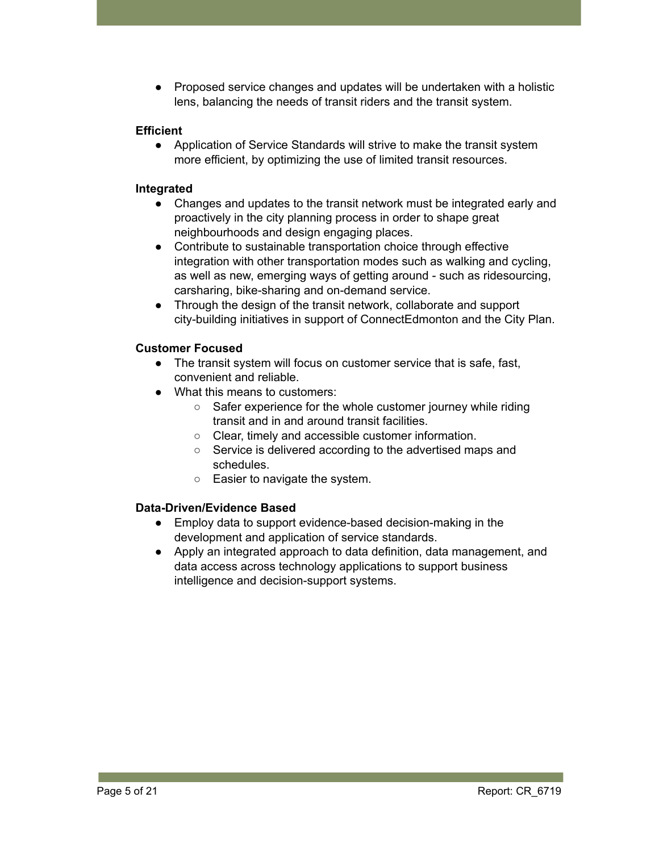● Proposed service changes and updates will be undertaken with a holistic lens, balancing the needs of transit riders and the transit system.

# **Efficient**

● Application of Service Standards will strive to make the transit system more efficient, by optimizing the use of limited transit resources.

# **Integrated**

- Changes and updates to the transit network must be integrated early and proactively in the city planning process in order to shape great neighbourhoods and design engaging places.
- Contribute to sustainable transportation choice through effective integration with other transportation modes such as walking and cycling, as well as new, emerging ways of getting around - such as ridesourcing, carsharing, bike-sharing and on-demand service.
- Through the design of the transit network, collaborate and support city-building initiatives in support of ConnectEdmonton and the City Plan.

# **Customer Focused**

- The transit system will focus on customer service that is safe, fast, convenient and reliable.
- What this means to customers:
	- Safer experience for the whole customer journey while riding transit and in and around transit facilities.
	- Clear, timely and accessible customer information.
	- Service is delivered according to the advertised maps and schedules.
	- Easier to navigate the system.

# **Data-Driven/Evidence Based**

- Employ data to support evidence-based decision-making in the development and application of service standards.
- Apply an integrated approach to data definition, data management, and data access across technology applications to support business intelligence and decision-support systems.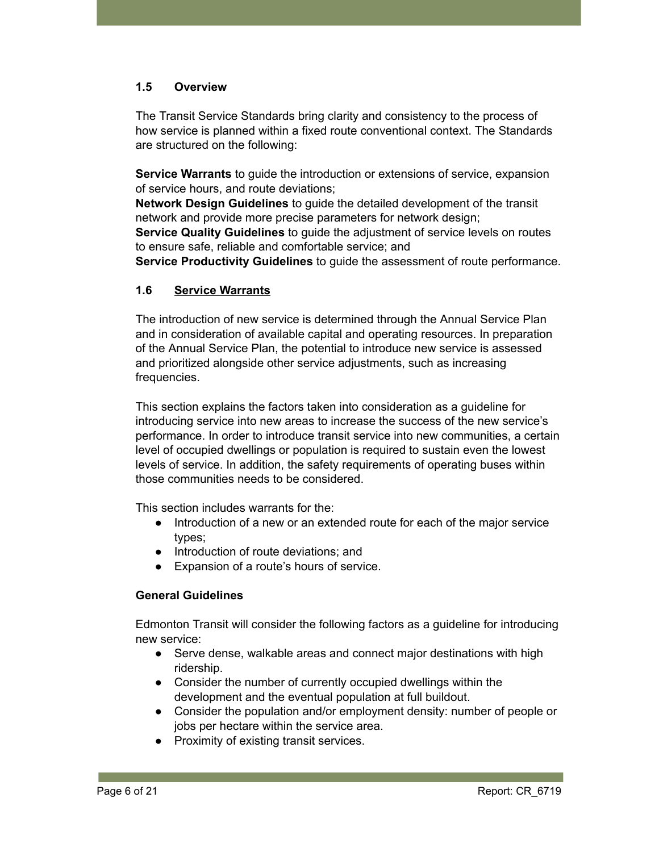# **1.5 Overview**

The Transit Service Standards bring clarity and consistency to the process of how service is planned within a fixed route conventional context. The Standards are structured on the following:

**Service Warrants** to guide the introduction or extensions of service, expansion of service hours, and route deviations;

**Network Design Guidelines** to guide the detailed development of the transit network and provide more precise parameters for network design;

**Service Quality Guidelines** to guide the adjustment of service levels on routes to ensure safe, reliable and comfortable service; and

**Service Productivity Guidelines** to guide the assessment of route performance.

# **1.6 Service Warrants**

The introduction of new service is determined through the Annual Service Plan and in consideration of available capital and operating resources. In preparation of the Annual Service Plan, the potential to introduce new service is assessed and prioritized alongside other service adjustments, such as increasing frequencies.

This section explains the factors taken into consideration as a guideline for introducing service into new areas to increase the success of the new service's performance. In order to introduce transit service into new communities, a certain level of occupied dwellings or population is required to sustain even the lowest levels of service. In addition, the safety requirements of operating buses within those communities needs to be considered.

This section includes warrants for the:

- Introduction of a new or an extended route for each of the major service types;
- Introduction of route deviations; and
- Expansion of a route's hours of service.

## **General Guidelines**

Edmonton Transit will consider the following factors as a guideline for introducing new service:

- Serve dense, walkable areas and connect major destinations with high ridership.
- Consider the number of currently occupied dwellings within the development and the eventual population at full buildout.
- Consider the population and/or employment density: number of people or jobs per hectare within the service area.
- Proximity of existing transit services.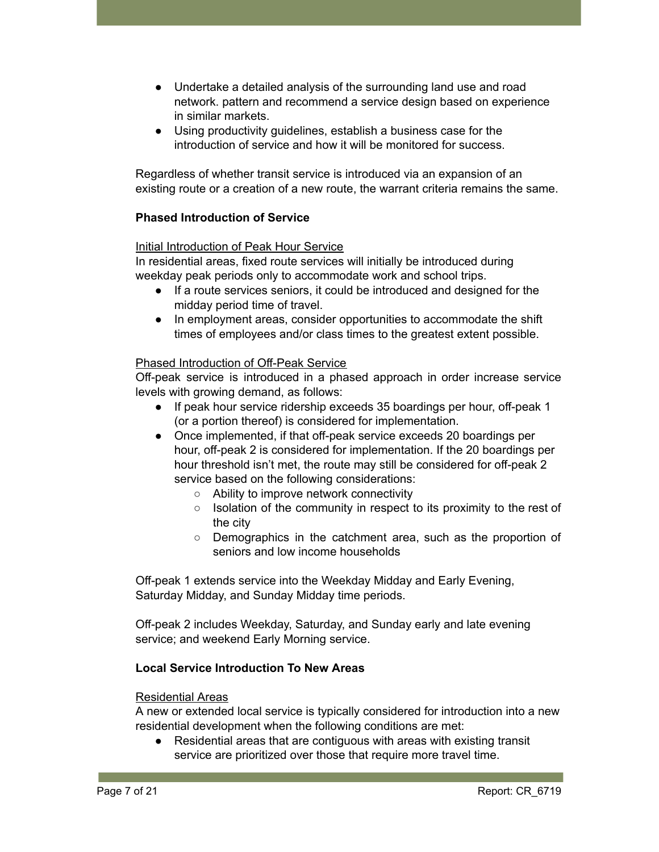- Undertake a detailed analysis of the surrounding land use and road network. pattern and recommend a service design based on experience in similar markets.
- Using productivity guidelines, establish a business case for the introduction of service and how it will be monitored for success.

Regardless of whether transit service is introduced via an expansion of an existing route or a creation of a new route, the warrant criteria remains the same.

# **Phased Introduction of Service**

# Initial Introduction of Peak Hour Service

In residential areas, fixed route services will initially be introduced during weekday peak periods only to accommodate work and school trips.

- If a route services seniors, it could be introduced and designed for the midday period time of travel.
- In employment areas, consider opportunities to accommodate the shift times of employees and/or class times to the greatest extent possible.

## Phased Introduction of Off-Peak Service

Off-peak service is introduced in a phased approach in order increase service levels with growing demand, as follows:

- If peak hour service ridership exceeds 35 boardings per hour, off-peak 1 (or a portion thereof) is considered for implementation.
- Once implemented, if that off-peak service exceeds 20 boardings per hour, off-peak 2 is considered for implementation. If the 20 boardings per hour threshold isn't met, the route may still be considered for off-peak 2 service based on the following considerations:
	- Ability to improve network connectivity
	- Isolation of the community in respect to its proximity to the rest of the city
	- Demographics in the catchment area, such as the proportion of seniors and low income households

Off-peak 1 extends service into the Weekday Midday and Early Evening, Saturday Midday, and Sunday Midday time periods.

Off-peak 2 includes Weekday, Saturday, and Sunday early and late evening service; and weekend Early Morning service.

## **Local Service Introduction To New Areas**

## Residential Areas

A new or extended local service is typically considered for introduction into a new residential development when the following conditions are met:

● Residential areas that are contiguous with areas with existing transit service are prioritized over those that require more travel time.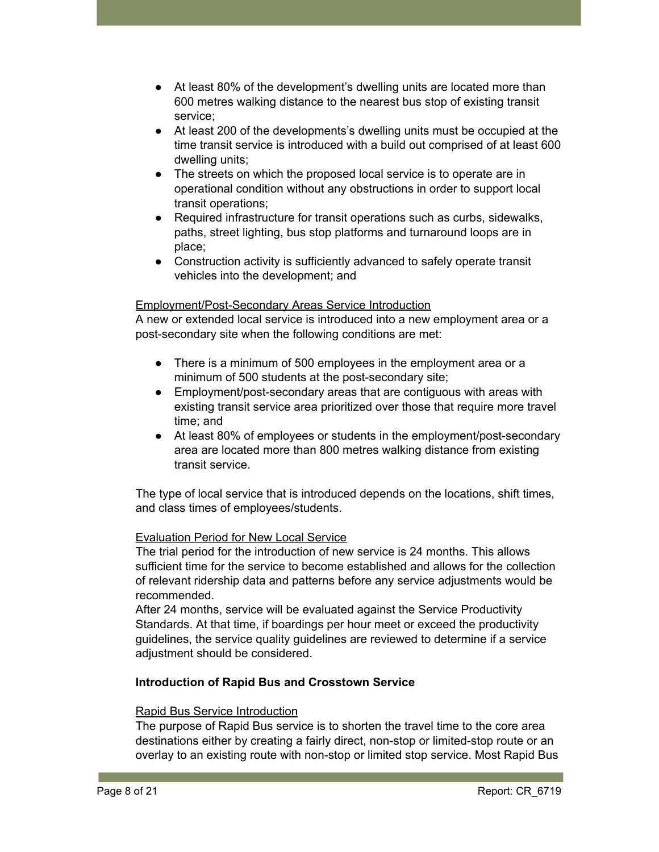- At least 80% of the development's dwelling units are located more than 600 metres walking distance to the nearest bus stop of existing transit service;
- At least 200 of the developments's dwelling units must be occupied at the time transit service is introduced with a build out comprised of at least 600 dwelling units;
- The streets on which the proposed local service is to operate are in operational condition without any obstructions in order to support local transit operations;
- Required infrastructure for transit operations such as curbs, sidewalks, paths, street lighting, bus stop platforms and turnaround loops are in place;
- Construction activity is sufficiently advanced to safely operate transit vehicles into the development; and

#### Employment/Post-Secondary Areas Service Introduction

A new or extended local service is introduced into a new employment area or a post-secondary site when the following conditions are met:

- There is a minimum of 500 employees in the employment area or a minimum of 500 students at the post-secondary site;
- Employment/post-secondary areas that are contiguous with areas with existing transit service area prioritized over those that require more travel time; and
- At least 80% of employees or students in the employment/post-secondary area are located more than 800 metres walking distance from existing transit service.

The type of local service that is introduced depends on the locations, shift times, and class times of employees/students.

## Evaluation Period for New Local Service

The trial period for the introduction of new service is 24 months. This allows sufficient time for the service to become established and allows for the collection of relevant ridership data and patterns before any service adjustments would be recommended.

After 24 months, service will be evaluated against the Service Productivity Standards. At that time, if boardings per hour meet or exceed the productivity guidelines, the service quality guidelines are reviewed to determine if a service adjustment should be considered.

## **Introduction of Rapid Bus and Crosstown Service**

#### Rapid Bus Service Introduction

The purpose of Rapid Bus service is to shorten the travel time to the core area destinations either by creating a fairly direct, non-stop or limited-stop route or an overlay to an existing route with non-stop or limited stop service. Most Rapid Bus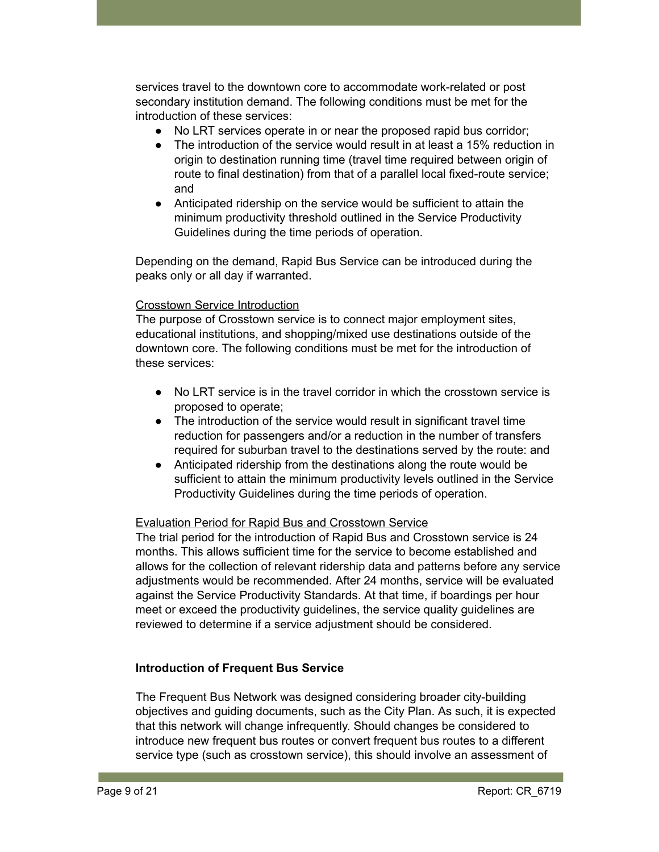services travel to the downtown core to accommodate work-related or post secondary institution demand. The following conditions must be met for the introduction of these services:

- No LRT services operate in or near the proposed rapid bus corridor;
- The introduction of the service would result in at least a 15% reduction in origin to destination running time (travel time required between origin of route to final destination) from that of a parallel local fixed-route service; and
- Anticipated ridership on the service would be sufficient to attain the minimum productivity threshold outlined in the Service Productivity Guidelines during the time periods of operation.

Depending on the demand, Rapid Bus Service can be introduced during the peaks only or all day if warranted.

## Crosstown Service Introduction

The purpose of Crosstown service is to connect major employment sites, educational institutions, and shopping/mixed use destinations outside of the downtown core. The following conditions must be met for the introduction of these services:

- No LRT service is in the travel corridor in which the crosstown service is proposed to operate;
- The introduction of the service would result in significant travel time reduction for passengers and/or a reduction in the number of transfers required for suburban travel to the destinations served by the route: and
- Anticipated ridership from the destinations along the route would be sufficient to attain the minimum productivity levels outlined in the Service Productivity Guidelines during the time periods of operation.

#### Evaluation Period for Rapid Bus and Crosstown Service

The trial period for the introduction of Rapid Bus and Crosstown service is 24 months. This allows sufficient time for the service to become established and allows for the collection of relevant ridership data and patterns before any service adjustments would be recommended. After 24 months, service will be evaluated against the Service Productivity Standards. At that time, if boardings per hour meet or exceed the productivity guidelines, the service quality guidelines are reviewed to determine if a service adjustment should be considered.

## **Introduction of Frequent Bus Service**

The Frequent Bus Network was designed considering broader city-building objectives and guiding documents, such as the City Plan. As such, it is expected that this network will change infrequently. Should changes be considered to introduce new frequent bus routes or convert frequent bus routes to a different service type (such as crosstown service), this should involve an assessment of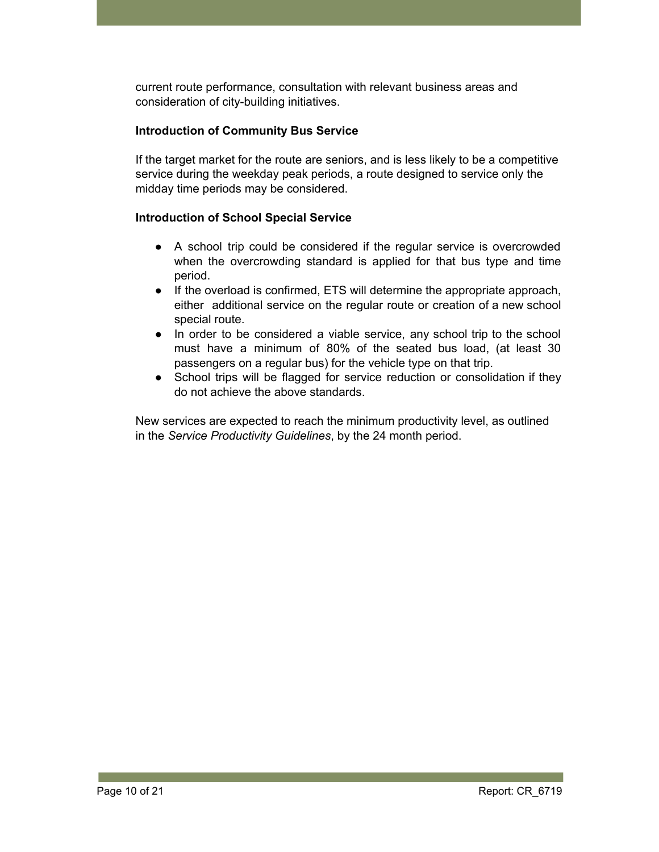current route performance, consultation with relevant business areas and consideration of city-building initiatives.

# **Introduction of Community Bus Service**

If the target market for the route are seniors, and is less likely to be a competitive service during the weekday peak periods, a route designed to service only the midday time periods may be considered.

## **Introduction of School Special Service**

- A school trip could be considered if the regular service is overcrowded when the overcrowding standard is applied for that bus type and time period.
- If the overload is confirmed, ETS will determine the appropriate approach, either additional service on the regular route or creation of a new school special route.
- In order to be considered a viable service, any school trip to the school must have a minimum of 80% of the seated bus load, (at least 30 passengers on a regular bus) for the vehicle type on that trip.
- School trips will be flagged for service reduction or consolidation if they do not achieve the above standards.

New services are expected to reach the minimum productivity level, as outlined in the *Service Productivity Guidelines*, by the 24 month period.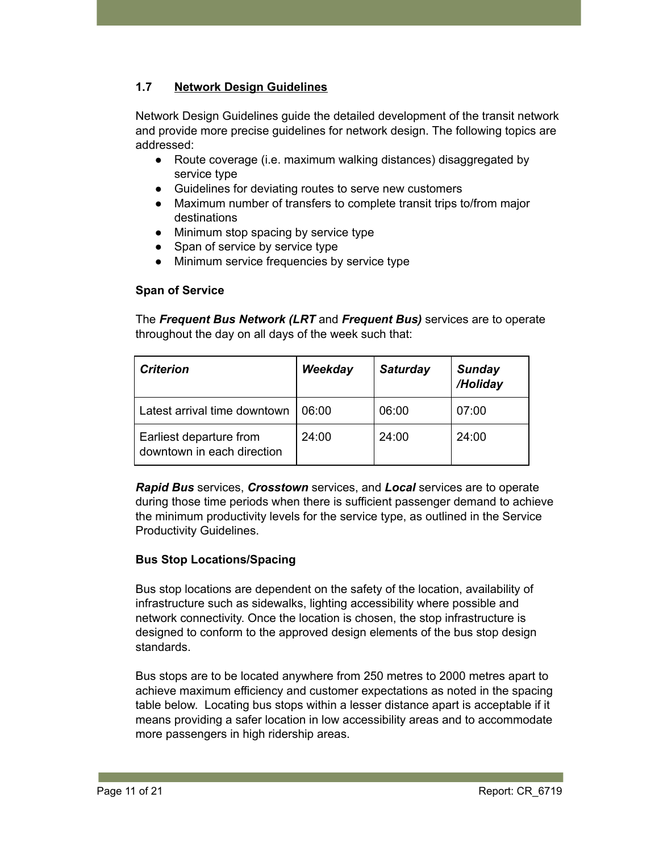# **1.7 Network Design Guidelines**

Network Design Guidelines guide the detailed development of the transit network and provide more precise guidelines for network design. The following topics are addressed:

- Route coverage (i.e. maximum walking distances) disaggregated by service type
- Guidelines for deviating routes to serve new customers
- Maximum number of transfers to complete transit trips to/from major destinations
- Minimum stop spacing by service type
- Span of service by service type
- Minimum service frequencies by service type

## **Span of Service**

The *Frequent Bus Network (LRT* and *Frequent Bus)* services are to operate throughout the day on all days of the week such that:

| <b>Criterion</b>                                      | Weekday | <b>Saturday</b> | <b>Sunday</b><br>/Holiday |
|-------------------------------------------------------|---------|-----------------|---------------------------|
| Latest arrival time downtown                          | 06:00   | 06:00           | 07:00                     |
| Earliest departure from<br>downtown in each direction | 24:00   | 24:00           | 24:00                     |

*Rapid Bus* services, *Crosstown* services, and *Local* services are to operate during those time periods when there is sufficient passenger demand to achieve the minimum productivity levels for the service type, as outlined in the Service Productivity Guidelines.

## **Bus Stop Locations/Spacing**

Bus stop locations are dependent on the safety of the location, availability of infrastructure such as sidewalks, lighting accessibility where possible and network connectivity. Once the location is chosen, the stop infrastructure is designed to conform to the approved design elements of the bus stop design standards.

Bus stops are to be located anywhere from 250 metres to 2000 metres apart to achieve maximum efficiency and customer expectations as noted in the spacing table below. Locating bus stops within a lesser distance apart is acceptable if it means providing a safer location in low accessibility areas and to accommodate more passengers in high ridership areas.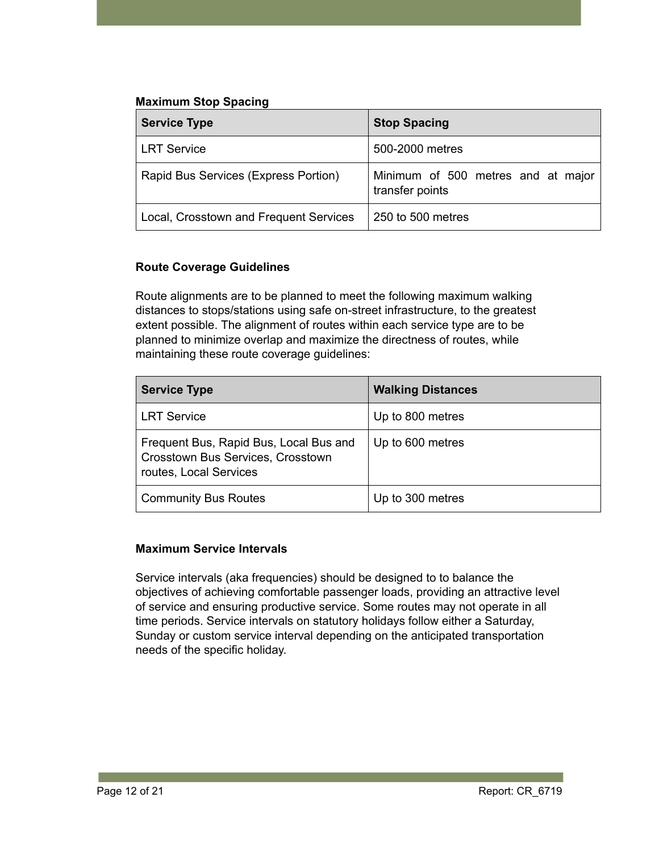# **Maximum Stop Spacing**

| <b>Service Type</b>                    | <b>Stop Spacing</b>                                   |
|----------------------------------------|-------------------------------------------------------|
| <b>LRT Service</b>                     | 500-2000 metres                                       |
| Rapid Bus Services (Express Portion)   | Minimum of 500 metres and at major<br>transfer points |
| Local, Crosstown and Frequent Services | 250 to 500 metres                                     |

# **Route Coverage Guidelines**

Route alignments are to be planned to meet the following maximum walking distances to stops/stations using safe on-street infrastructure, to the greatest extent possible. The alignment of routes within each service type are to be planned to minimize overlap and maximize the directness of routes, while maintaining these route coverage guidelines:

| <b>Service Type</b>                                                                                   | <b>Walking Distances</b> |
|-------------------------------------------------------------------------------------------------------|--------------------------|
| <b>LRT Service</b>                                                                                    | Up to 800 metres         |
| Frequent Bus, Rapid Bus, Local Bus and<br>Crosstown Bus Services, Crosstown<br>routes, Local Services | Up to 600 metres         |
| <b>Community Bus Routes</b>                                                                           | Up to 300 metres         |

## **Maximum Service Intervals**

Service intervals (aka frequencies) should be designed to to balance the objectives of achieving comfortable passenger loads, providing an attractive level of service and ensuring productive service. Some routes may not operate in all time periods. Service intervals on statutory holidays follow either a Saturday, Sunday or custom service interval depending on the anticipated transportation needs of the specific holiday.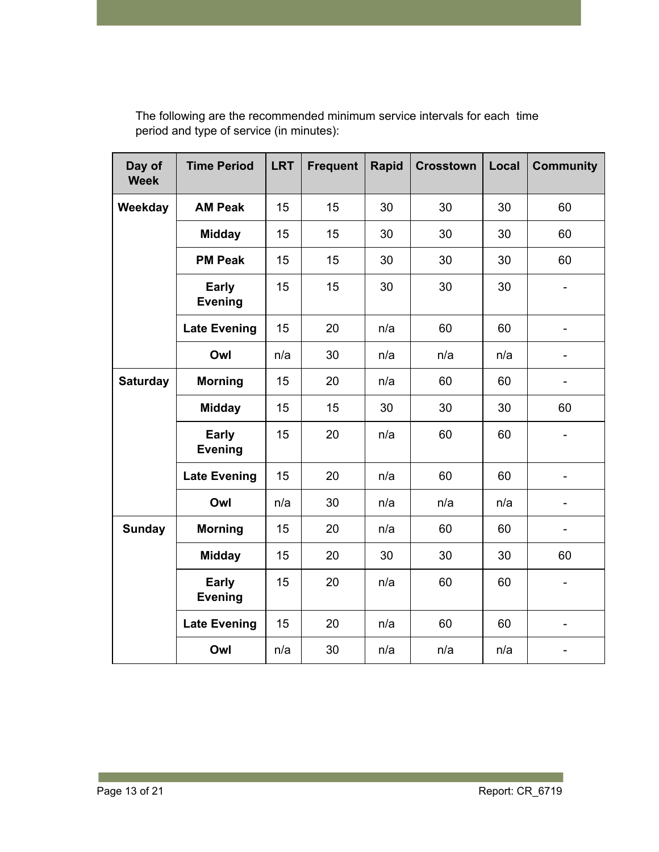| Day of<br><b>Week</b> | <b>Time Period</b>             | <b>LRT</b> | <b>Frequent</b> | Rapid | <b>Crosstown</b> | Local | <b>Community</b> |
|-----------------------|--------------------------------|------------|-----------------|-------|------------------|-------|------------------|
| Weekday               | <b>AM Peak</b>                 | 15         | 15              | 30    | 30               | 30    | 60               |
|                       | <b>Midday</b>                  | 15         | 15              | 30    | 30               | 30    | 60               |
|                       | <b>PM Peak</b>                 | 15         | 15              | 30    | 30               | 30    | 60               |
|                       | <b>Early</b><br><b>Evening</b> | 15         | 15              | 30    | 30               | 30    |                  |
|                       | <b>Late Evening</b>            | 15         | 20              | n/a   | 60               | 60    |                  |
|                       | Owl                            | n/a        | 30              | n/a   | n/a              | n/a   |                  |
| <b>Saturday</b>       | <b>Morning</b>                 | 15         | 20              | n/a   | 60               | 60    | $\blacksquare$   |
|                       | <b>Midday</b>                  | 15         | 15              | 30    | 30               | 30    | 60               |
|                       | <b>Early</b><br><b>Evening</b> | 15         | 20              | n/a   | 60               | 60    |                  |
|                       | <b>Late Evening</b>            | 15         | 20              | n/a   | 60               | 60    |                  |
|                       | Owl                            | n/a        | 30              | n/a   | n/a              | n/a   |                  |
| <b>Sunday</b>         | <b>Morning</b>                 | 15         | 20              | n/a   | 60               | 60    |                  |
|                       | <b>Midday</b>                  | 15         | 20              | 30    | 30               | 30    | 60               |
|                       | <b>Early</b><br><b>Evening</b> | 15         | 20              | n/a   | 60               | 60    |                  |
|                       | <b>Late Evening</b>            | 15         | 20              | n/a   | 60               | 60    |                  |
|                       | Owl                            | n/a        | 30              | n/a   | n/a              | n/a   |                  |

The following are the recommended minimum service intervals for each time period and type of service (in minutes):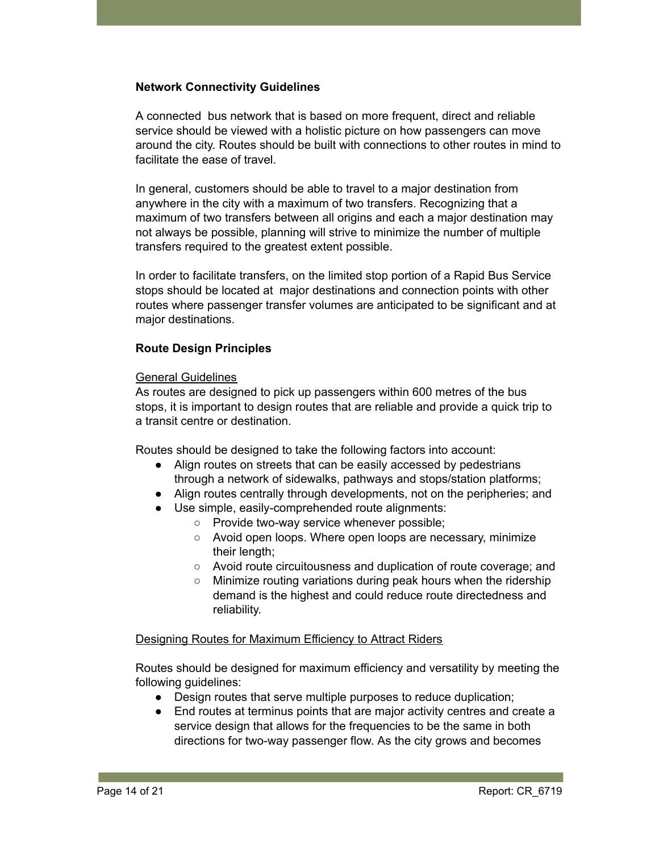#### **Network Connectivity Guidelines**

A connected bus network that is based on more frequent, direct and reliable service should be viewed with a holistic picture on how passengers can move around the city. Routes should be built with connections to other routes in mind to facilitate the ease of travel.

In general, customers should be able to travel to a major destination from anywhere in the city with a maximum of two transfers. Recognizing that a maximum of two transfers between all origins and each a major destination may not always be possible, planning will strive to minimize the number of multiple transfers required to the greatest extent possible.

In order to facilitate transfers, on the limited stop portion of a Rapid Bus Service stops should be located at major destinations and connection points with other routes where passenger transfer volumes are anticipated to be significant and at major destinations.

## **Route Design Principles**

#### General Guidelines

As routes are designed to pick up passengers within 600 metres of the bus stops, it is important to design routes that are reliable and provide a quick trip to a transit centre or destination.

Routes should be designed to take the following factors into account:

- Align routes on streets that can be easily accessed by pedestrians through a network of sidewalks, pathways and stops/station platforms;
- Align routes centrally through developments, not on the peripheries; and
- Use simple, easily-comprehended route alignments:
	- Provide two-way service whenever possible;
	- Avoid open loops. Where open loops are necessary, minimize their length:
	- Avoid route circuitousness and duplication of route coverage; and
	- Minimize routing variations during peak hours when the ridership demand is the highest and could reduce route directedness and reliability.

#### Designing Routes for Maximum Efficiency to Attract Riders

Routes should be designed for maximum efficiency and versatility by meeting the following guidelines:

- Design routes that serve multiple purposes to reduce duplication;
- End routes at terminus points that are major activity centres and create a service design that allows for the frequencies to be the same in both directions for two-way passenger flow. As the city grows and becomes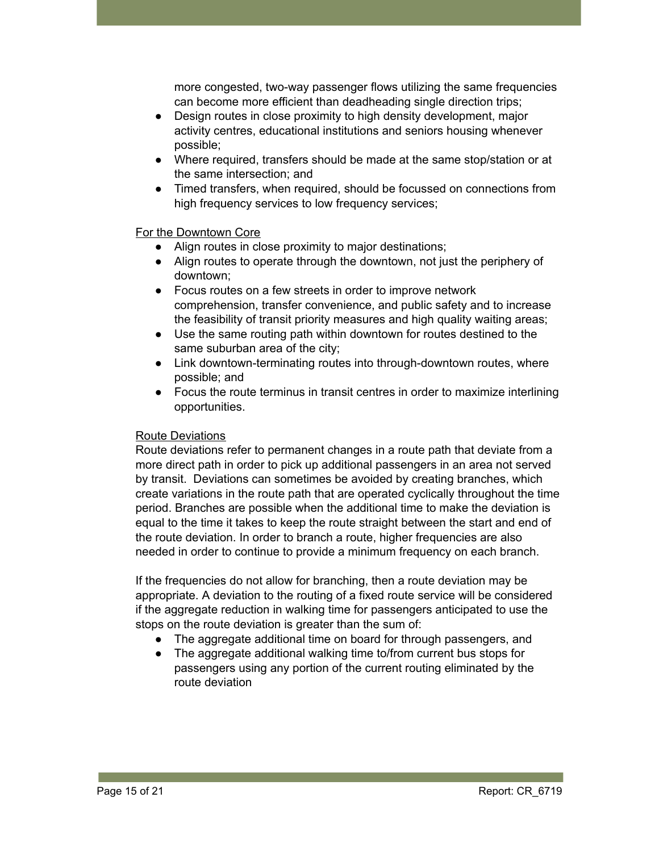more congested, two-way passenger flows utilizing the same frequencies can become more efficient than deadheading single direction trips;

- Design routes in close proximity to high density development, major activity centres, educational institutions and seniors housing whenever possible;
- Where required, transfers should be made at the same stop/station or at the same intersection; and
- Timed transfers, when required, should be focussed on connections from high frequency services to low frequency services;

#### For the Downtown Core

- Align routes in close proximity to major destinations;
- Align routes to operate through the downtown, not just the periphery of downtown;
- Focus routes on a few streets in order to improve network comprehension, transfer convenience, and public safety and to increase the feasibility of transit priority measures and high quality waiting areas;
- Use the same routing path within downtown for routes destined to the same suburban area of the city;
- Link downtown-terminating routes into through-downtown routes, where possible; and
- Focus the route terminus in transit centres in order to maximize interlining opportunities.

## Route Deviations

Route deviations refer to permanent changes in a route path that deviate from a more direct path in order to pick up additional passengers in an area not served by transit. Deviations can sometimes be avoided by creating branches, which create variations in the route path that are operated cyclically throughout the time period. Branches are possible when the additional time to make the deviation is equal to the time it takes to keep the route straight between the start and end of the route deviation. In order to branch a route, higher frequencies are also needed in order to continue to provide a minimum frequency on each branch.

If the frequencies do not allow for branching, then a route deviation may be appropriate. A deviation to the routing of a fixed route service will be considered if the aggregate reduction in walking time for passengers anticipated to use the stops on the route deviation is greater than the sum of:

- The aggregate additional time on board for through passengers, and
- The aggregate additional walking time to/from current bus stops for passengers using any portion of the current routing eliminated by the route deviation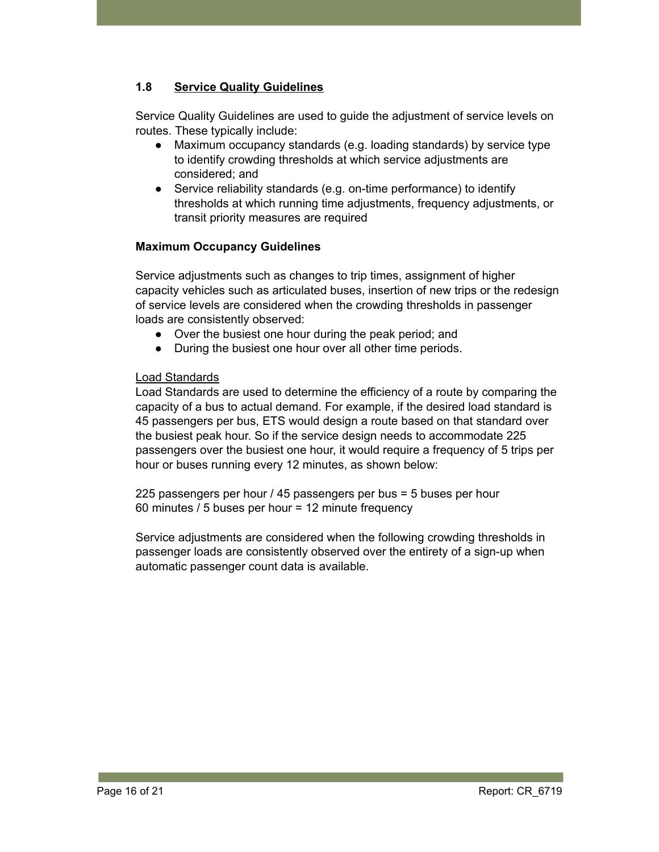# **1.8 Service Quality Guidelines**

Service Quality Guidelines are used to guide the adjustment of service levels on routes. These typically include:

- Maximum occupancy standards (e.g. loading standards) by service type to identify crowding thresholds at which service adjustments are considered; and
- Service reliability standards (e.g. on-time performance) to identify thresholds at which running time adjustments, frequency adjustments, or transit priority measures are required

## **Maximum Occupancy Guidelines**

Service adjustments such as changes to trip times, assignment of higher capacity vehicles such as articulated buses, insertion of new trips or the redesign of service levels are considered when the crowding thresholds in passenger loads are consistently observed:

- Over the busiest one hour during the peak period; and
- During the busiest one hour over all other time periods.

## Load Standards

Load Standards are used to determine the efficiency of a route by comparing the capacity of a bus to actual demand. For example, if the desired load standard is 45 passengers per bus, ETS would design a route based on that standard over the busiest peak hour. So if the service design needs to accommodate 225 passengers over the busiest one hour, it would require a frequency of 5 trips per hour or buses running every 12 minutes, as shown below:

225 passengers per hour / 45 passengers per bus = 5 buses per hour 60 minutes / 5 buses per hour = 12 minute frequency

Service adjustments are considered when the following crowding thresholds in passenger loads are consistently observed over the entirety of a sign-up when automatic passenger count data is available.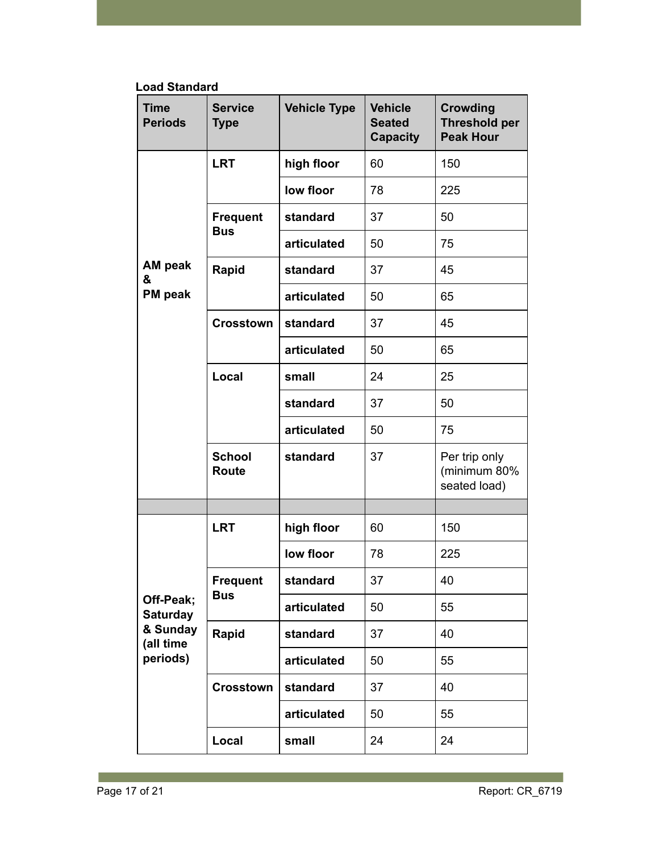**Load Standard**

| <b>Time</b><br><b>Periods</b>                                     | <b>Service</b><br><b>Type</b> | <b>Vehicle Type</b> | <b>Vehicle</b><br><b>Seated</b><br><b>Capacity</b> | <b>Crowding</b><br><b>Threshold per</b><br><b>Peak Hour</b> |
|-------------------------------------------------------------------|-------------------------------|---------------------|----------------------------------------------------|-------------------------------------------------------------|
|                                                                   | <b>LRT</b>                    | high floor          | 60                                                 | 150                                                         |
|                                                                   |                               | low floor           | 78                                                 | 225                                                         |
|                                                                   | <b>Frequent</b>               | standard            | 37                                                 | 50                                                          |
|                                                                   | <b>Bus</b>                    | articulated         | 50                                                 | 75                                                          |
| AM peak<br>&                                                      | Rapid                         | standard            | 37                                                 | 45                                                          |
| PM peak                                                           |                               | articulated         | 50                                                 | 65                                                          |
|                                                                   | <b>Crosstown</b>              | standard            | 37                                                 | 45                                                          |
|                                                                   |                               | articulated         | 50                                                 | 65                                                          |
|                                                                   | Local                         | small               | 24                                                 | 25                                                          |
|                                                                   |                               | standard            | 37                                                 | 50                                                          |
|                                                                   |                               | articulated         | 50                                                 | 75                                                          |
|                                                                   | <b>School</b><br><b>Route</b> | standard            | 37                                                 | Per trip only<br>(minimum 80%<br>seated load)               |
|                                                                   |                               |                     |                                                    |                                                             |
|                                                                   | <b>LRT</b>                    | high floor          | 60                                                 | 150                                                         |
|                                                                   |                               | low floor           | 78                                                 | 225                                                         |
|                                                                   | <b>Frequent</b>               | standard            | 37                                                 | 40                                                          |
| Off-Peak;<br><b>Saturday</b><br>& Sunday<br>(all time<br>periods) | <b>Bus</b>                    | articulated         | 50                                                 | 55                                                          |
|                                                                   | Rapid                         | standard            | 37                                                 | 40                                                          |
|                                                                   |                               | articulated         | 50                                                 | 55                                                          |
|                                                                   | <b>Crosstown</b>              | standard            | 37                                                 | 40                                                          |
|                                                                   |                               | articulated         | 50                                                 | 55                                                          |
|                                                                   | Local                         | small               | 24                                                 | 24                                                          |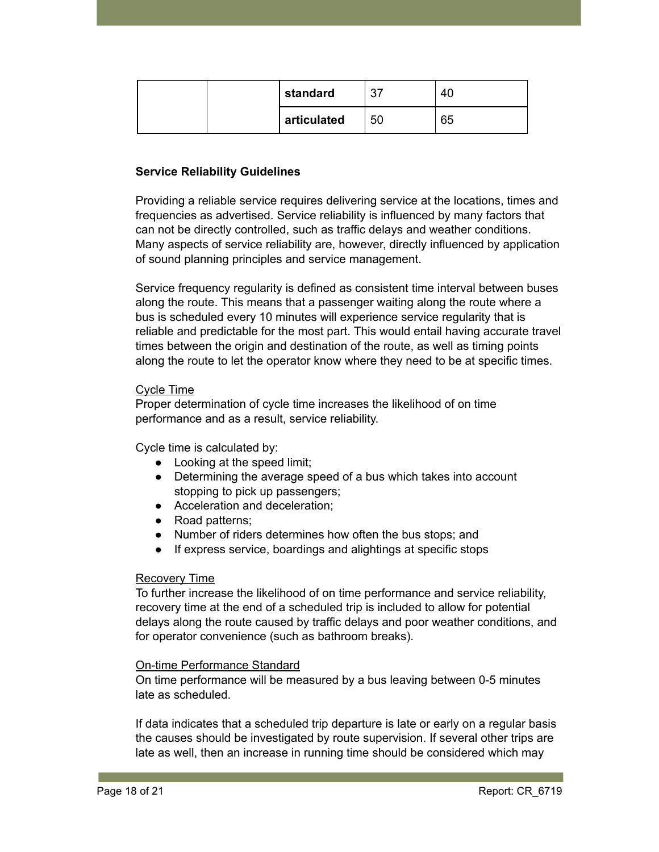| standard    | 37 | 40 |
|-------------|----|----|
| articulated | 50 | 65 |

## **Service Reliability Guidelines**

Providing a reliable service requires delivering service at the locations, times and frequencies as advertised. Service reliability is influenced by many factors that can not be directly controlled, such as traffic delays and weather conditions. Many aspects of service reliability are, however, directly influenced by application of sound planning principles and service management.

Service frequency regularity is defined as consistent time interval between buses along the route. This means that a passenger waiting along the route where a bus is scheduled every 10 minutes will experience service regularity that is reliable and predictable for the most part. This would entail having accurate travel times between the origin and destination of the route, as well as timing points along the route to let the operator know where they need to be at specific times.

#### Cycle Time

Proper determination of cycle time increases the likelihood of on time performance and as a result, service reliability.

Cycle time is calculated by:

- Looking at the speed limit;
- Determining the average speed of a bus which takes into account stopping to pick up passengers;
- Acceleration and deceleration;
- Road patterns;
- Number of riders determines how often the bus stops; and
- If express service, boardings and alightings at specific stops

#### Recovery Time

To further increase the likelihood of on time performance and service reliability, recovery time at the end of a scheduled trip is included to allow for potential delays along the route caused by traffic delays and poor weather conditions, and for operator convenience (such as bathroom breaks).

#### On-time Performance Standard

On time performance will be measured by a bus leaving between 0-5 minutes late as scheduled.

If data indicates that a scheduled trip departure is late or early on a regular basis the causes should be investigated by route supervision. If several other trips are late as well, then an increase in running time should be considered which may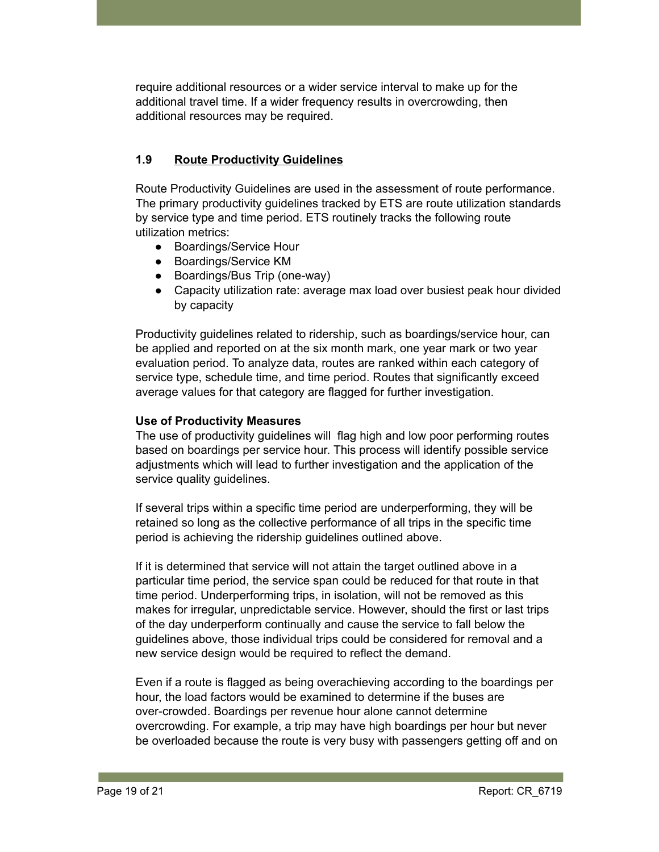require additional resources or a wider service interval to make up for the additional travel time. If a wider frequency results in overcrowding, then additional resources may be required.

# **1.9 Route Productivity Guidelines**

Route Productivity Guidelines are used in the assessment of route performance. The primary productivity guidelines tracked by ETS are route utilization standards by service type and time period. ETS routinely tracks the following route utilization metrics:

- Boardings/Service Hour
- Boardings/Service KM
- Boardings/Bus Trip (one-way)
- Capacity utilization rate: average max load over busiest peak hour divided by capacity

Productivity guidelines related to ridership, such as boardings/service hour, can be applied and reported on at the six month mark, one year mark or two year evaluation period. To analyze data, routes are ranked within each category of service type, schedule time, and time period. Routes that significantly exceed average values for that category are flagged for further investigation.

#### **Use of Productivity Measures**

The use of productivity guidelines will flag high and low poor performing routes based on boardings per service hour. This process will identify possible service adjustments which will lead to further investigation and the application of the service quality guidelines.

If several trips within a specific time period are underperforming, they will be retained so long as the collective performance of all trips in the specific time period is achieving the ridership guidelines outlined above.

If it is determined that service will not attain the target outlined above in a particular time period, the service span could be reduced for that route in that time period. Underperforming trips, in isolation, will not be removed as this makes for irregular, unpredictable service. However, should the first or last trips of the day underperform continually and cause the service to fall below the guidelines above, those individual trips could be considered for removal and a new service design would be required to reflect the demand.

Even if a route is flagged as being overachieving according to the boardings per hour, the load factors would be examined to determine if the buses are over-crowded. Boardings per revenue hour alone cannot determine overcrowding. For example, a trip may have high boardings per hour but never be overloaded because the route is very busy with passengers getting off and on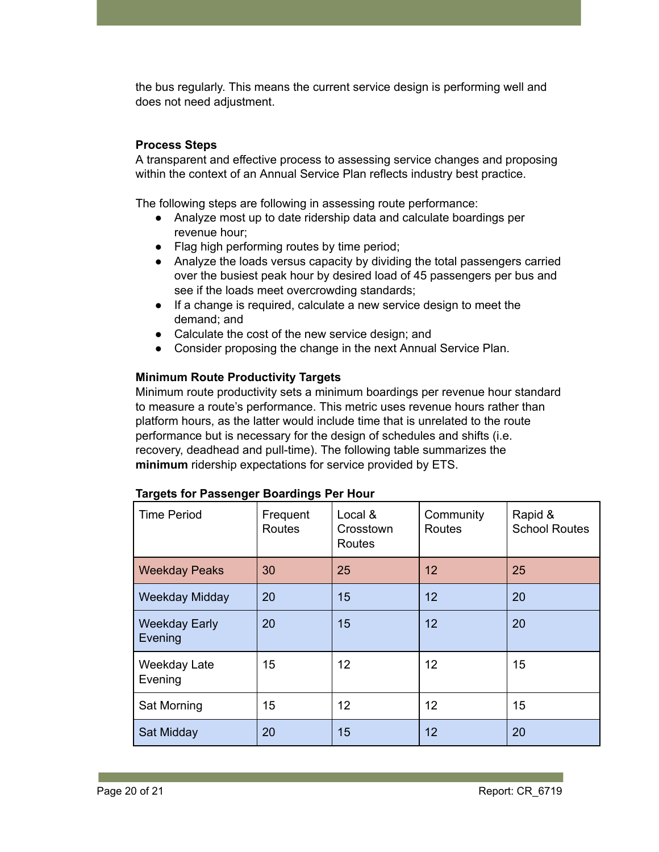the bus regularly. This means the current service design is performing well and does not need adjustment.

## **Process Steps**

A transparent and effective process to assessing service changes and proposing within the context of an Annual Service Plan reflects industry best practice.

The following steps are following in assessing route performance:

- Analyze most up to date ridership data and calculate boardings per revenue hour;
- Flag high performing routes by time period;
- Analyze the loads versus capacity by dividing the total passengers carried over the busiest peak hour by desired load of 45 passengers per bus and see if the loads meet overcrowding standards;
- If a change is required, calculate a new service design to meet the demand; and
- Calculate the cost of the new service design; and
- Consider proposing the change in the next Annual Service Plan.

#### **Minimum Route Productivity Targets**

Minimum route productivity sets a minimum boardings per revenue hour standard to measure a route's performance. This metric uses revenue hours rather than platform hours, as the latter would include time that is unrelated to the route performance but is necessary for the design of schedules and shifts (i.e. recovery, deadhead and pull-time). The following table summarizes the **minimum** ridership expectations for service provided by ETS.

| <b>Time Period</b>              | Frequent<br><b>Routes</b> | Local &<br>Crosstown<br>Routes | Community<br><b>Routes</b> | Rapid &<br><b>School Routes</b> |
|---------------------------------|---------------------------|--------------------------------|----------------------------|---------------------------------|
| <b>Weekday Peaks</b>            | 30                        | 25                             | 12                         | 25                              |
| <b>Weekday Midday</b>           | 20                        | 15                             | 12                         | 20                              |
| <b>Weekday Early</b><br>Evening | 20                        | 15                             | 12                         | 20                              |
| Weekday Late<br>Evening         | 15                        | 12                             | 12                         | 15                              |
| Sat Morning                     | 15                        | 12                             | 12                         | 15                              |
| Sat Midday                      | 20                        | 15                             | 12                         | 20                              |